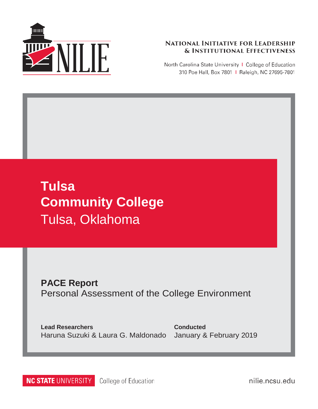

#### **NATIONAL INITIATIVE FOR LEADERSHIP & INSTITUTIONAL EFFECTIVENESS**

North Carolina State University | College of Education 310 Poe Hall, Box 7801 | Raleigh, NC 27695-7801

# **Tulsa Community College** Tulsa, Oklahoma

**PACE Report** Personal Assessment of the College Environment

**Lead Researchers** Haruna Suzuki & Laura G. Maldonado

**Conducted** January & February 2019

**NC STATE UNIVERSITY** College of Education nilie.ncsu.edu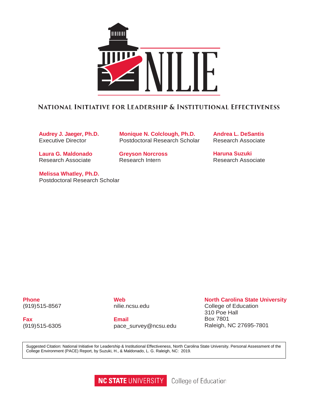

#### NATIONAL INITIATIVE FOR LEADERSHIP & INSTITUTIONAL EFFECTIVENESS

**Audrey J. Jaeger, Ph.D.** Executive Director

**Laura G. Maldonado** Research Associate

**Melissa Whatley, Ph.D.** Postdoctoral Research Scholar

**Monique N. Colclough, Ph.D.** Postdoctoral Research Scholar

**Greyson Norcross** Research Intern

**Andrea L. DeSantis** Research Associate

**Haruna Suzuki** Research Associate

**Phone** (919)515-8567

**Fax** (919)515-6305 **Web** nilie.ncsu.edu

**Email** [pace\\_survey@ncsu.edu](mailto:pace_survey@ncsu.edu)

#### **North Carolina State University**

College of Education 310 Poe Hall Box 7801 Raleigh, NC 27695-7801

Suggested Citation: National Initiative for Leadership & Institutional Effectiveness, North Carolina State University. Personal Assessment of the College Environment (PACE) Report, by Suzuki, H., & Maldonado, L. G. Raleigh, NC: 2019.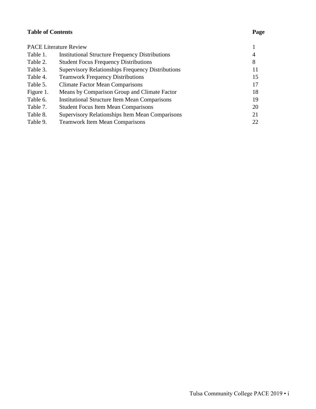#### **Table of Contents**

|           | <b>PACE Literature Review</b>                            |    |
|-----------|----------------------------------------------------------|----|
| Table 1.  | <b>Institutional Structure Frequency Distributions</b>   | 4  |
| Table 2.  | <b>Student Focus Frequency Distributions</b>             | 8  |
| Table 3.  | <b>Supervisory Relationships Frequency Distributions</b> | 11 |
| Table 4.  | <b>Teamwork Frequency Distributions</b>                  | 15 |
| Table 5.  | <b>Climate Factor Mean Comparisons</b>                   | 17 |
| Figure 1. | Means by Comparison Group and Climate Factor             | 18 |
| Table 6.  | <b>Institutional Structure Item Mean Comparisons</b>     | 19 |
| Table 7.  | <b>Student Focus Item Mean Comparisons</b>               | 20 |
| Table 8.  | Supervisory Relationships Item Mean Comparisons          | 21 |
| Table 9.  | <b>Teamwork Item Mean Comparisons</b>                    | 22 |
|           |                                                          |    |

#### **Page**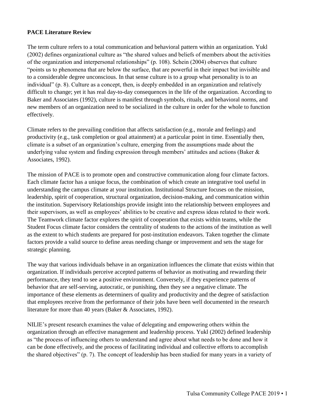#### **PACE Literature Review**

The term culture refers to a total communication and behavioral pattern within an organization. Yukl (2002) defines organizational culture as "the shared values and beliefs of members about the activities of the organization and interpersonal relationships" (p. 108). Schein (2004) observes that culture "points us to phenomena that are below the surface, that are powerful in their impact but invisible and to a considerable degree unconscious. In that sense culture is to a group what personality is to an individual" (p. 8). Culture as a concept, then, is deeply embedded in an organization and relatively difficult to change; yet it has real day-to-day consequences in the life of the organization. According to Baker and Associates (1992), culture is manifest through symbols, rituals, and behavioral norms, and new members of an organization need to be socialized in the culture in order for the whole to function effectively.

Climate refers to the prevailing condition that affects satisfaction (e.g., morale and feelings) and productivity (e.g., task completion or goal attainment) at a particular point in time. Essentially then, climate is a subset of an organization's culture, emerging from the assumptions made about the underlying value system and finding expression through members' attitudes and actions (Baker  $\&$ Associates, 1992).

The mission of PACE is to promote open and constructive communication along four climate factors. Each climate factor has a unique focus, the combination of which create an integrative tool useful in understanding the campus climate at your institution. Institutional Structure focuses on the mission, leadership, spirit of cooperation, structural organization, decision-making, and communication within the institution. Supervisory Relationships provide insight into the relationship between employees and their supervisors, as well as employees' abilities to be creative and express ideas related to their work. The Teamwork climate factor explores the spirit of cooperation that exists within teams, while the Student Focus climate factor considers the centrality of students to the actions of the institution as well as the extent to which students are prepared for post-institution endeavors. Taken together the climate factors provide a valid source to define areas needing change or improvement and sets the stage for strategic planning.

The way that various individuals behave in an organization influences the climate that exists within that organization. If individuals perceive accepted patterns of behavior as motivating and rewarding their performance, they tend to see a positive environment. Conversely, if they experience patterns of behavior that are self-serving, autocratic, or punishing, then they see a negative climate. The importance of these elements as determiners of quality and productivity and the degree of satisfaction that employees receive from the performance of their jobs have been well documented in the research literature for more than 40 years (Baker & Associates, 1992).

NILIE's present research examines the value of delegating and empowering others within the organization through an effective management and leadership process. Yukl (2002) defined leadership as "the process of influencing others to understand and agree about what needs to be done and how it can be done effectively, and the process of facilitating individual and collective efforts to accomplish the shared objectives" (p. 7). The concept of leadership has been studied for many years in a variety of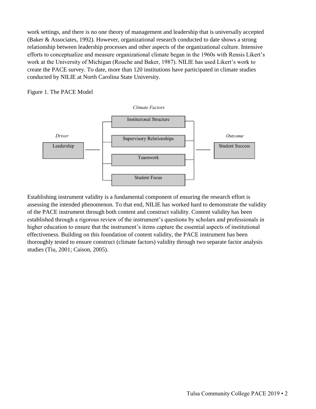work settings, and there is no one theory of management and leadership that is universally accepted (Baker & Associates, 1992). However, organizational research conducted to date shows a strong relationship between leadership processes and other aspects of the organizational culture. Intensive efforts to conceptualize and measure organizational climate began in the 1960s with Rensis Likert's work at the University of Michigan (Rouche and Baker, 1987). NILIE has used Likert's work to create the PACE survey. To date, more than 120 institutions have participated in climate studies conducted by NILIE at North Carolina State University.

#### Figure 1. The PACE Model





Establishing instrument validity is a fundamental component of ensuring the research effort is assessing the intended phenomenon. To that end, NILIE has worked hard to demonstrate the validity of the PACE instrument through both content and construct validity. Content validity has been established through a rigorous review of the instrument's questions by scholars and professionals in higher education to ensure that the instrument's items capture the essential aspects of institutional effectiveness. Building on this foundation of content validity, the PACE instrument has been thoroughly tested to ensure construct (climate factors) validity through two separate factor analysis studies (Tiu, 2001; Caison, 2005).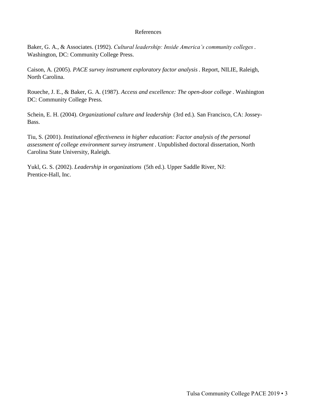#### References

Baker, G. A., & Associates. (1992). *Cultural leadership: Inside America's community colleges* . Washington, DC: Community College Press.

Caison, A. (2005). *PACE survey instrument exploratory factor analysis* . Report, NILIE, Raleigh, North Carolina.

Roueche, J. E., & Baker, G. A. (1987). *Access and excellence: The open-door college* . Washington DC: Community College Press.

Schein, E. H. (2004). *Organizational culture and leadership* (3rd ed.). San Francisco, CA: Jossey-Bass.

Tiu, S. (2001). *Institutional effectiveness in higher education: Factor analysis of the personal assessment of college environment survey instrument* . Unpublished doctoral dissertation, North Carolina State University, Raleigh.

Yukl, G. S. (2002). *Leadership in organizations* (5th ed.). Upper Saddle River, NJ: Prentice-Hall, Inc.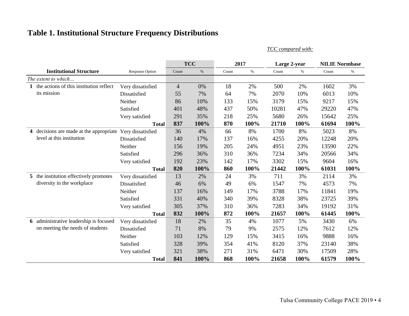# **Table 1. Institutional Structure Frequency Distributions**

*TCC compared with:*

|                                                         |                        |                | <b>TCC</b> |       | 2017 | Large 2-year |      |       | <b>NILIE Normbase</b> |
|---------------------------------------------------------|------------------------|----------------|------------|-------|------|--------------|------|-------|-----------------------|
| <b>Institutional Structure</b>                          | <b>Response Option</b> | Count          | $\%$       | Count | $\%$ | Count        | $\%$ | Count | $\%$                  |
| The extent to which                                     |                        |                |            |       |      |              |      |       |                       |
| the actions of this institution reflect<br>1            | Very dissatisfied      | $\overline{4}$ | 0%         | 18    | 2%   | 500          | 2%   | 1602  | 3%                    |
| its mission                                             | Dissatisfied           | 55             | 7%         | 64    | 7%   | 2070         | 10%  | 6013  | 10%                   |
|                                                         | Neither                | 86             | 10%        | 133   | 15%  | 3179         | 15%  | 9217  | 15%                   |
|                                                         | Satisfied              | 401            | 48%        | 437   | 50%  | 10281        | 47%  | 29220 | 47%                   |
|                                                         | Very satisfied         | 291            | 35%        | 218   | 25%  | 5680         | 26%  | 15642 | 25%                   |
|                                                         | <b>Total</b>           | 837            | 100%       | 870   | 100% | 21710        | 100% | 61694 | 100%                  |
| decisions are made at the appropriate<br>$\overline{4}$ | Very dissatisfied      | 36             | 4%         | 66    | 8%   | 1700         | 8%   | 5023  | 8%                    |
| level at this institution                               | Dissatisfied           | 140            | 17%        | 137   | 16%  | 4255         | 20%  | 12248 | 20%                   |
|                                                         | Neither                | 156            | 19%        | 205   | 24%  | 4951         | 23%  | 13590 | 22%                   |
|                                                         | Satisfied              | 296            | 36%        | 310   | 36%  | 7234         | 34%  | 20566 | 34%                   |
|                                                         | Very satisfied         | 192            | 23%        | 142   | 17%  | 3302         | 15%  | 9604  | 16%                   |
|                                                         | <b>Total</b>           | 820            | 100%       | 860   | 100% | 21442        | 100% | 61031 | 100%                  |
| 5 the institution effectively promotes                  | Very dissatisfied      | 13             | 2%         | 24    | 3%   | 711          | 3%   | 2114  | 3%                    |
| diversity in the workplace                              | Dissatisfied           | 46             | 6%         | 49    | 6%   | 1547         | 7%   | 4573  | 7%                    |
|                                                         | Neither                | 137            | 16%        | 149   | 17%  | 3788         | 17%  | 11841 | 19%                   |
|                                                         | Satisfied              | 331            | 40%        | 340   | 39%  | 8328         | 38%  | 23725 | 39%                   |
|                                                         | Very satisfied         | 305            | 37%        | 310   | 36%  | 7283         | 34%  | 19192 | 31%                   |
|                                                         | <b>Total</b>           | 832            | 100%       | 872   | 100% | 21657        | 100% | 61445 | 100%                  |
| 6 administrative leadership is focused                  | Very dissatisfied      | 18             | 2%         | 35    | 4%   | 1077         | 5%   | 3430  | 6%                    |
| on meeting the needs of students                        | Dissatisfied           | 71             | 8%         | 79    | 9%   | 2575         | 12%  | 7612  | 12%                   |
|                                                         | Neither                | 103            | 12%        | 129   | 15%  | 3415         | 16%  | 9888  | 16%                   |
|                                                         | Satisfied              | 328            | 39%        | 354   | 41%  | 8120         | 37%  | 23140 | 38%                   |
|                                                         | Very satisfied         | 321            | 38%        | 271   | 31%  | 6471         | 30%  | 17509 | 28%                   |
|                                                         | <b>Total</b>           | 841            | 100%       | 868   | 100% | 21658        | 100% | 61579 | 100%                  |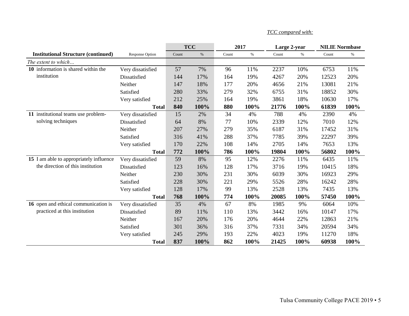|                                            |                        |       | <b>TCC</b> | 2017  |      | Large 2-year |      |       | <b>NILIE Normbase</b> |
|--------------------------------------------|------------------------|-------|------------|-------|------|--------------|------|-------|-----------------------|
| <b>Institutional Structure (continued)</b> | <b>Response Option</b> | Count | $\%$       | Count | $\%$ | Count        | $\%$ | Count | $\%$                  |
| The extent to which                        |                        |       |            |       |      |              |      |       |                       |
| 10 information is shared within the        | Very dissatisfied      | 57    | 7%         | 96    | 11%  | 2237         | 10%  | 6753  | 11%                   |
| institution                                | Dissatisfied           | 144   | 17%        | 164   | 19%  | 4267         | 20%  | 12523 | 20%                   |
|                                            | Neither                | 147   | 18%        | 177   | 20%  | 4656         | 21%  | 13081 | 21%                   |
|                                            | Satisfied              | 280   | 33%        | 279   | 32%  | 6755         | 31%  | 18852 | 30%                   |
|                                            | Very satisfied         | 212   | 25%        | 164   | 19%  | 3861         | 18%  | 10630 | 17%                   |
|                                            | <b>Total</b>           | 840   | 100%       | 880   | 100% | 21776        | 100% | 61839 | 100%                  |
| 11 institutional teams use problem-        | Very dissatisfied      | 15    | 2%         | 34    | 4%   | 788          | 4%   | 2390  | 4%                    |
| solving techniques                         | Dissatisfied           | 64    | 8%         | 77    | 10%  | 2339         | 12%  | 7010  | 12%                   |
|                                            | Neither                | 207   | 27%        | 279   | 35%  | 6187         | 31%  | 17452 | 31%                   |
|                                            | Satisfied              | 316   | 41%        | 288   | 37%  | 7785         | 39%  | 22297 | 39%                   |
|                                            | Very satisfied         | 170   | 22%        | 108   | 14%  | 2705         | 14%  | 7653  | 13%                   |
|                                            | <b>Total</b>           | 772   | 100%       | 786   | 100% | 19804        | 100% | 56802 | 100%                  |
| 15 I am able to appropriately influence    | Very dissatisfied      | 59    | 8%         | 95    | 12%  | 2276         | 11%  | 6435  | 11%                   |
| the direction of this institution          | Dissatisfied           | 123   | 16%        | 128   | 17%  | 3716         | 19%  | 10415 | 18%                   |
|                                            | Neither                | 230   | 30%        | 231   | 30%  | 6039         | 30%  | 16923 | 29%                   |
|                                            | Satisfied              | 228   | 30%        | 221   | 29%  | 5526         | 28%  | 16242 | 28%                   |
|                                            | Very satisfied         | 128   | 17%        | 99    | 13%  | 2528         | 13%  | 7435  | 13%                   |
|                                            | <b>Total</b>           | 768   | 100%       | 774   | 100% | 20085        | 100% | 57450 | 100%                  |
| 16 open and ethical communication is       | Very dissatisfied      | 35    | 4%         | 67    | 8%   | 1985         | 9%   | 6064  | 10%                   |
| practiced at this institution              | Dissatisfied           | 89    | 11%        | 110   | 13%  | 3442         | 16%  | 10147 | 17%                   |
|                                            | Neither                | 167   | 20%        | 176   | 20%  | 4644         | 22%  | 12863 | 21%                   |
|                                            | Satisfied              | 301   | 36%        | 316   | 37%  | 7331         | 34%  | 20594 | 34%                   |
|                                            | Very satisfied         | 245   | 29%        | 193   | 22%  | 4023         | 19%  | 11270 | 18%                   |
|                                            | <b>Total</b>           | 837   | 100%       | 862   | 100% | 21425        | 100% | 60938 | 100%                  |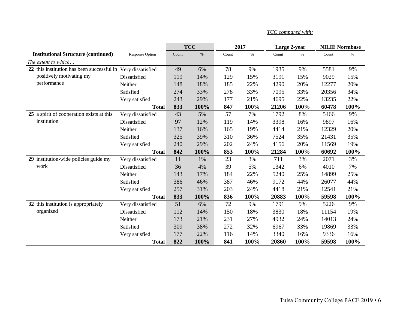|                                                              |                        |       | <b>TCC</b> | 2017  |      | Large 2-year |      | <b>NILIE Normbase</b> |      |
|--------------------------------------------------------------|------------------------|-------|------------|-------|------|--------------|------|-----------------------|------|
| <b>Institutional Structure (continued)</b>                   | <b>Response Option</b> | Count | $\%$       | Count | $\%$ | Count        | $\%$ | Count                 | $\%$ |
| The extent to which                                          |                        |       |            |       |      |              |      |                       |      |
| 22 this institution has been successful in Very dissatisfied |                        | 49    | 6%         | 78    | 9%   | 1935         | 9%   | 5581                  | 9%   |
| positively motivating my                                     | Dissatisfied           | 119   | 14%        | 129   | 15%  | 3191         | 15%  | 9029                  | 15%  |
| performance                                                  | Neither                | 148   | 18%        | 185   | 22%  | 4290         | 20%  | 12277                 | 20%  |
|                                                              | Satisfied              | 274   | 33%        | 278   | 33%  | 7095         | 33%  | 20356                 | 34%  |
|                                                              | Very satisfied         | 243   | 29%        | 177   | 21%  | 4695         | 22%  | 13235                 | 22%  |
|                                                              | <b>Total</b>           | 833   | 100%       | 847   | 100% | 21206        | 100% | 60478                 | 100% |
| 25 a spirit of cooperation exists at this                    | Very dissatisfied      | 43    | 5%         | 57    | 7%   | 1792         | 8%   | 5466                  | 9%   |
| institution                                                  | Dissatisfied           | 97    | 12%        | 119   | 14%  | 3398         | 16%  | 9897                  | 16%  |
|                                                              | Neither                | 137   | 16%        | 165   | 19%  | 4414         | 21%  | 12329                 | 20%  |
|                                                              | Satisfied              | 325   | 39%        | 310   | 36%  | 7524         | 35%  | 21431                 | 35%  |
|                                                              | Very satisfied         | 240   | 29%        | 202   | 24%  | 4156         | 20%  | 11569                 | 19%  |
|                                                              | <b>Total</b>           | 842   | 100%       | 853   | 100% | 21284        | 100% | 60692                 | 100% |
| 29 institution-wide policies guide my                        | Very dissatisfied      | 11    | 1%         | 23    | 3%   | 711          | 3%   | 2071                  | 3%   |
| work                                                         | Dissatisfied           | 36    | 4%         | 39    | 5%   | 1342         | 6%   | 4010                  | 7%   |
|                                                              | Neither                | 143   | 17%        | 184   | 22%  | 5240         | 25%  | 14899                 | 25%  |
|                                                              | Satisfied              | 386   | 46%        | 387   | 46%  | 9172         | 44%  | 26077                 | 44%  |
|                                                              | Very satisfied         | 257   | 31%        | 203   | 24%  | 4418         | 21%  | 12541                 | 21%  |
|                                                              | <b>Total</b>           | 833   | 100%       | 836   | 100% | 20883        | 100% | 59598                 | 100% |
| 32 this institution is appropriately                         | Very dissatisfied      | 51    | 6%         | 72    | 9%   | 1791         | 9%   | 5226                  | 9%   |
| organized                                                    | Dissatisfied           | 112   | 14%        | 150   | 18%  | 3830         | 18%  | 11154                 | 19%  |
|                                                              | Neither                | 173   | 21%        | 231   | 27%  | 4932         | 24%  | 14013                 | 24%  |
|                                                              | Satisfied              | 309   | 38%        | 272   | 32%  | 6967         | 33%  | 19869                 | 33%  |
|                                                              | Very satisfied         | 177   | 22%        | 116   | 14%  | 3340         | 16%  | 9336                  | 16%  |
|                                                              | <b>Total</b>           | 822   | 100%       | 841   | 100% | 20860        | 100% | 59598                 | 100% |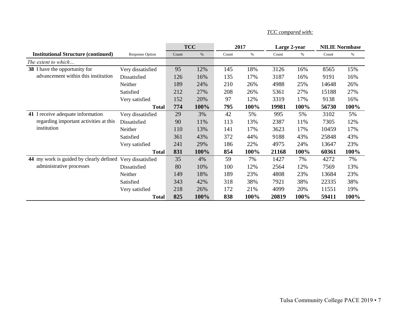|                                                                             |                        |       | <b>TCC</b> |       | 2017 | Large 2-year |      | <b>NILIE Normbase</b> |      |
|-----------------------------------------------------------------------------|------------------------|-------|------------|-------|------|--------------|------|-----------------------|------|
| <b>Institutional Structure (continued)</b>                                  | <b>Response Option</b> | Count | $\%$       | Count | $\%$ | Count        | $\%$ | Count                 | $\%$ |
| The extent to which                                                         |                        |       |            |       |      |              |      |                       |      |
| <b>38</b> I have the opportunity for                                        | Very dissatisfied      | 95    | 12%        | 145   | 18%  | 3126         | 16%  | 8565                  | 15%  |
| advancement within this institution                                         | Dissatisfied           | 126   | 16%        | 135   | 17%  | 3187         | 16%  | 9191                  | 16%  |
|                                                                             | Neither                | 189   | 24%        | 210   | 26%  | 4988         | 25%  | 14648                 | 26%  |
|                                                                             | Satisfied              | 212   | 27%        | 208   | 26%  | 5361         | 27%  | 15188                 | 27%  |
|                                                                             | Very satisfied         | 152   | 20%        | 97    | 12%  | 3319         | 17%  | 9138                  | 16%  |
|                                                                             | <b>Total</b>           | 774   | 100%       | 795   | 100% | 19981        | 100% | 56730                 | 100% |
| 41 I receive adequate information<br>regarding important activities at this | Very dissatisfied      | 29    | 3%         | 42    | 5%   | 995          | 5%   | 3102                  | 5%   |
|                                                                             | Dissatisfied           | 90    | 11%        | 113   | 13%  | 2387         | 11%  | 7305                  | 12%  |
| institution                                                                 | Neither                | 110   | 13%        | 141   | 17%  | 3623         | 17%  | 10459                 | 17%  |
|                                                                             | Satisfied              | 361   | 43%        | 372   | 44%  | 9188         | 43%  | 25848                 | 43%  |
|                                                                             | Very satisfied         | 241   | 29%        | 186   | 22%  | 4975         | 24%  | 13647                 | 23%  |
|                                                                             | <b>Total</b>           | 831   | 100%       | 854   | 100% | 21168        | 100% | 60361                 | 100% |
| 44 my work is guided by clearly defined Very dissatisfied                   |                        | 35    | 4%         | 59    | 7%   | 1427         | 7%   | 4272                  | 7%   |
| administrative processes                                                    | Dissatisfied           | 80    | 10%        | 100   | 12%  | 2564         | 12%  | 7569                  | 13%  |
|                                                                             | Neither                | 149   | 18%        | 189   | 23%  | 4808         | 23%  | 13684                 | 23%  |
|                                                                             | Satisfied              | 343   | 42%        | 318   | 38%  | 7921         | 38%  | 22335                 | 38%  |
|                                                                             | Very satisfied         | 218   | 26%        | 172   | 21%  | 4099         | 20%  | 11551                 | 19%  |
|                                                                             | <b>Total</b>           | 825   | 100%       | 838   | 100% | 20819        | 100% | 59411                 | 100% |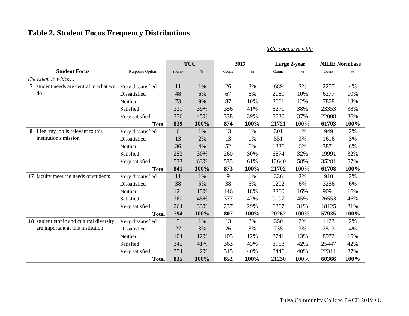# **Table 2. Student Focus Frequency Distributions**

|                                          |                        |       | <b>TCC</b> |       | 2017 | Large 2-year |      | <b>NILIE Normbase</b> |      |
|------------------------------------------|------------------------|-------|------------|-------|------|--------------|------|-----------------------|------|
| <b>Student Focus</b>                     | <b>Response Option</b> | Count | $\%$       | Count | $\%$ | Count        | $\%$ | Count                 | $\%$ |
| The extent to which                      |                        |       |            |       |      |              |      |                       |      |
| 7 student needs are central to what we   | Very dissatisfied      | 11    | 1%         | 26    | 3%   | 689          | 3%   | 2257                  | 4%   |
| do                                       | Dissatisfied           | 48    | 6%         | 67    | 8%   | 2080         | 10%  | 6277                  | 10%  |
|                                          | Neither                | 73    | 9%         | 87    | 10%  | 2661         | 12%  | 7808                  | 13%  |
|                                          | Satisfied              | 331   | 39%        | 356   | 41%  | 8271         | 38%  | 23353                 | 38%  |
|                                          | Very satisfied         | 376   | 45%        | 338   | 39%  | 8020         | 37%  | 22008                 | 36%  |
|                                          | <b>Total</b>           | 839   | 100%       | 874   | 100% | 21721        | 100% | 61703                 | 100% |
| 8 I feel my job is relevant to this      | Very dissatisfied      | 6     | 1%         | 13    | 1%   | 301          | 1%   | 949                   | 2%   |
| institution's mission                    | Dissatisfied           | 13    | 2%         | 13    | 1%   | 551          | 3%   | 1616                  | 3%   |
|                                          | Neither                | 36    | 4%         | 52    | 6%   | 1336         | 6%   | 3871                  | 6%   |
|                                          | Satisfied              | 253   | 30%        | 260   | 30%  | 6874         | 32%  | 19991                 | 32%  |
|                                          | Very satisfied         | 533   | 63%        | 535   | 61%  | 12640        | 58%  | 35281                 | 57%  |
|                                          | <b>Total</b>           | 841   | 100%       | 873   | 100% | 21702        | 100% | 61708                 | 100% |
| 17 faculty meet the needs of students    | Very dissatisfied      | 11    | 1%         | 9     | 1%   | 336          | 2%   | 910                   | 2%   |
|                                          | Dissatisfied           | 38    | 5%         | 38    | 5%   | 1202         | 6%   | 3256                  | 6%   |
|                                          | Neither                | 121   | 15%        | 146   | 18%  | 3260         | 16%  | 9091                  | 16%  |
|                                          | Satisfied              | 360   | 45%        | 377   | 47%  | 9197         | 45%  | 26553                 | 46%  |
|                                          | Very satisfied         | 264   | 33%        | 237   | 29%  | 6267         | 31%  | 18125                 | 31%  |
|                                          | <b>Total</b>           | 794   | 100%       | 807   | 100% | 20262        | 100% | 57935                 | 100% |
| 18 student ethnic and cultural diversity | Very dissatisfied      | 5     | 1%         | 13    | 2%   | 350          | 2%   | 1123                  | 2%   |
| are important at this institution        | Dissatisfied           | 27    | 3%         | 26    | 3%   | 735          | 3%   | 2513                  | 4%   |
|                                          | Neither                | 104   | 12%        | 105   | 12%  | 2741         | 13%  | 8972                  | 15%  |
|                                          | Satisfied              | 345   | 41%        | 363   | 43%  | 8958         | 42%  | 25447                 | 42%  |
|                                          | Very satisfied         | 354   | 42%        | 345   | 40%  | 8446         | 40%  | 22311                 | 37%  |
|                                          | <b>Total</b>           | 835   | 100%       | 852   | 100% | 21230        | 100% | 60366                 | 100% |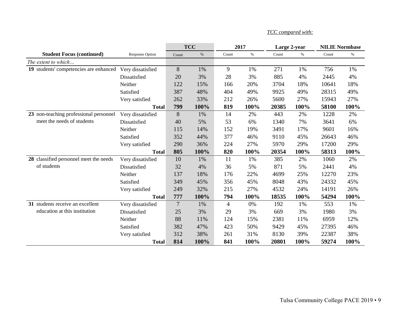|                                        |                        |                | <b>TCC</b> |                | 2017 | Large 2-year |       |       | <b>NILIE Normbase</b> |
|----------------------------------------|------------------------|----------------|------------|----------------|------|--------------|-------|-------|-----------------------|
| <b>Student Focus (continued)</b>       | <b>Response Option</b> | Count          | $\%$       | Count          | $\%$ | Count        | $\%$  | Count | $\%$                  |
| The extent to which                    |                        |                |            |                |      |              |       |       |                       |
| 19 students' competencies are enhanced | Very dissatisfied      | 8              | 1%         | 9              | 1%   | 271          | 1%    | 756   | 1%                    |
|                                        | Dissatisfied           | 20             | 3%         | 28             | 3%   | 885          | 4%    | 2445  | 4%                    |
|                                        | Neither                | 122            | 15%        | 166            | 20%  | 3704         | 18%   | 10641 | 18%                   |
|                                        | Satisfied              | 387            | 48%        | 404            | 49%  | 9925         | 49%   | 28315 | 49%                   |
|                                        | Very satisfied         | 262            | 33%        | 212            | 26%  | 5600         | 27%   | 15943 | 27%                   |
|                                        | <b>Total</b>           | 799            | 100%       | 819            | 100% | 20385        | 100%  | 58100 | 100%                  |
| 23 non-teaching professional personnel | Very dissatisfied      | 8              | 1%         | 14             | 2%   | 443          | 2%    | 1228  | 2%                    |
| meet the needs of students             | Dissatisfied           | 40             | 5%         | 53             | 6%   | 1340         | 7%    | 3641  | 6%                    |
|                                        | Neither                | 115            | 14%        | 152            | 19%  | 3491         | 17%   | 9601  | 16%                   |
|                                        | Satisfied              | 352            | 44%        | 377            | 46%  | 9110         | 45%   | 26643 | 46%                   |
|                                        | Very satisfied         | 290            | 36%        | 224            | 27%  | 5970         | 29%   | 17200 | 29%                   |
|                                        | <b>Total</b>           | 805            | 100%       | 820            | 100% | 20354        | 100%  | 58313 | 100%                  |
| 28 classified personnel meet the needs | Very dissatisfied      | 10             | 1%         | 11             | 1%   | 385          | $2\%$ | 1060  | 2%                    |
| of students                            | Dissatisfied           | 32             | 4%         | 36             | 5%   | 871          | 5%    | 2441  | 4%                    |
|                                        | Neither                | 137            | 18%        | 176            | 22%  | 4699         | 25%   | 12270 | 23%                   |
|                                        | Satisfied              | 349            | 45%        | 356            | 45%  | 8048         | 43%   | 24332 | 45%                   |
|                                        | Very satisfied         | 249            | 32%        | 215            | 27%  | 4532         | 24%   | 14191 | 26%                   |
|                                        | <b>Total</b>           | 777            | 100%       | 794            | 100% | 18535        | 100%  | 54294 | 100%                  |
| 31 students receive an excellent       | Very dissatisfied      | $\overline{7}$ | 1%         | $\overline{4}$ | 0%   | 192          | 1%    | 553   | 1%                    |
| education at this institution          | Dissatisfied           | 25             | 3%         | 29             | 3%   | 669          | 3%    | 1980  | 3%                    |
|                                        | Neither                | 88             | 11%        | 124            | 15%  | 2381         | 11%   | 6959  | 12%                   |
|                                        | Satisfied              | 382            | 47%        | 423            | 50%  | 9429         | 45%   | 27395 | 46%                   |
|                                        | Very satisfied         | 312            | 38%        | 261            | 31%  | 8130         | 39%   | 22387 | 38%                   |
|                                        | <b>Total</b>           | 814            | 100%       | 841            | 100% | 20801        | 100%  | 59274 | 100%                  |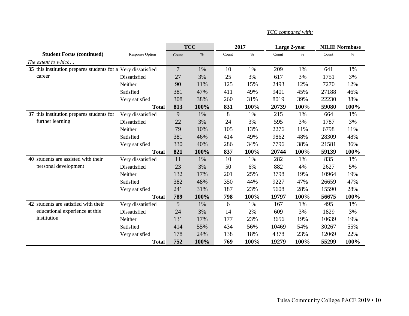|                                                               |                        |        | <b>TCC</b> |       | 2017 | Large 2-year |      | <b>NILIE Normbase</b> |       |
|---------------------------------------------------------------|------------------------|--------|------------|-------|------|--------------|------|-----------------------|-------|
| <b>Student Focus (continued)</b>                              | <b>Response Option</b> | Count  | $\%$       | Count | $\%$ | Count        | $\%$ | Count                 | $\%$  |
| The extent to which                                           |                        |        |            |       |      |              |      |                       |       |
| 35 this institution prepares students for a Very dissatisfied |                        | $\tau$ | 1%         | 10    | 1%   | 209          | 1%   | 641                   | 1%    |
| career                                                        | Dissatisfied           | 27     | 3%         | 25    | 3%   | 617          | 3%   | 1751                  | 3%    |
|                                                               | Neither                | 90     | 11%        | 125   | 15%  | 2493         | 12%  | 7270                  | 12%   |
|                                                               | Satisfied              | 381    | 47%        | 411   | 49%  | 9401         | 45%  | 27188                 | 46%   |
|                                                               | Very satisfied         | 308    | 38%        | 260   | 31%  | 8019         | 39%  | 22230                 | 38%   |
|                                                               | <b>Total</b>           | 813    | 100%       | 831   | 100% | 20739        | 100% | 59080                 | 100%  |
| 37 this institution prepares students for                     | Very dissatisfied      | 9      | 1%         | 8     | 1%   | 215          | 1%   | 664                   | 1%    |
| further learning                                              | Dissatisfied           | 22     | 3%         | 24    | 3%   | 595          | 3%   | 1787                  | 3%    |
|                                                               | Neither                | 79     | 10%        | 105   | 13%  | 2276         | 11%  | 6798                  | 11%   |
|                                                               | Satisfied              | 381    | 46%        | 414   | 49%  | 9862         | 48%  | 28309                 | 48%   |
|                                                               | Very satisfied         | 330    | 40%        | 286   | 34%  | 7796         | 38%  | 21581                 | 36%   |
|                                                               | <b>Total</b>           | 821    | 100%       | 837   | 100% | 20744        | 100% | 59139                 | 100%  |
| 40 students are assisted with their                           | Very dissatisfied      | 11     | 1%         | 10    | 1%   | 282          | 1%   | 835                   | $1\%$ |
| personal development                                          | Dissatisfied           | 23     | 3%         | 50    | 6%   | 882          | 4%   | 2627                  | 5%    |
|                                                               | Neither                | 132    | 17%        | 201   | 25%  | 3798         | 19%  | 10964                 | 19%   |
|                                                               | Satisfied              | 382    | 48%        | 350   | 44%  | 9227         | 47%  | 26659                 | 47%   |
|                                                               | Very satisfied         | 241    | 31%        | 187   | 23%  | 5608         | 28%  | 15590                 | 28%   |
|                                                               | <b>Total</b>           | 789    | 100%       | 798   | 100% | 19797        | 100% | 56675                 | 100%  |
| 42 students are satisfied with their                          | Very dissatisfied      | 5      | 1%         | 6     | 1%   | 167          | 1%   | 495                   | 1%    |
| educational experience at this                                | Dissatisfied           | 24     | 3%         | 14    | 2%   | 609          | 3%   | 1829                  | 3%    |
| institution                                                   | Neither                | 131    | 17%        | 177   | 23%  | 3656         | 19%  | 10639                 | 19%   |
|                                                               | Satisfied              | 414    | 55%        | 434   | 56%  | 10469        | 54%  | 30267                 | 55%   |
|                                                               | Very satisfied         | 178    | 24%        | 138   | 18%  | 4378         | 23%  | 12069                 | 22%   |
|                                                               | <b>Total</b>           | 752    | 100%       | 769   | 100% | 19279        | 100% | 55299                 | 100%  |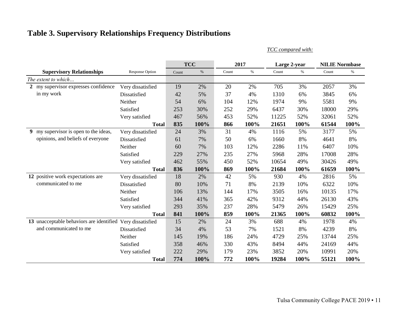# **Table 3. Supervisory Relationships Frequency Distributions**

*TCC compared with:*

|                                          |                        |       | <b>TCC</b> |       | 2017 | Large 2-year |      | <b>NILIE Normbase</b> |      |
|------------------------------------------|------------------------|-------|------------|-------|------|--------------|------|-----------------------|------|
| <b>Supervisory Relationships</b>         | <b>Response Option</b> | Count | $\%$       | Count | $\%$ | Count        | $\%$ | Count                 | $\%$ |
| The extent to which                      |                        |       |            |       |      |              |      |                       |      |
| 2 my supervisor expresses confidence     | Very dissatisfied      | 19    | 2%         | 20    | 2%   | 705          | 3%   | 2057                  | 3%   |
| in my work                               | Dissatisfied           | 42    | 5%         | 37    | 4%   | 1310         | 6%   | 3845                  | 6%   |
|                                          | Neither                | 54    | 6%         | 104   | 12%  | 1974         | 9%   | 5581                  | 9%   |
|                                          | Satisfied              | 253   | 30%        | 252   | 29%  | 6437         | 30%  | 18000                 | 29%  |
|                                          | Very satisfied         | 467   | 56%        | 453   | 52%  | 11225        | 52%  | 32061                 | 52%  |
|                                          | <b>Total</b>           | 835   | 100%       | 866   | 100% | 21651        | 100% | 61544                 | 100% |
| my supervisor is open to the ideas,<br>9 | Very dissatisfied      | 24    | 3%         | 31    | 4%   | 1116         | 5%   | 3177                  | 5%   |
| opinions, and beliefs of everyone        | Dissatisfied           | 61    | 7%         | 50    | 6%   | 1660         | 8%   | 4641                  | 8%   |
|                                          | Neither                | 60    | 7%         | 103   | 12%  | 2286         | 11%  | 6407                  | 10%  |
|                                          | Satisfied              | 229   | 27%        | 235   | 27%  | 5968         | 28%  | 17008                 | 28%  |
|                                          | Very satisfied         | 462   | 55%        | 450   | 52%  | 10654        | 49%  | 30426                 | 49%  |
|                                          | <b>Total</b>           | 836   | 100%       | 869   | 100% | 21684        | 100% | 61659                 | 100% |
| 12 positive work expectations are        | Very dissatisfied      | 18    | 2%         | 42    | 5%   | 930          | 4%   | 2816                  | 5%   |
| communicated to me                       | Dissatisfied           | 80    | 10%        | 71    | 8%   | 2139         | 10%  | 6322                  | 10%  |
|                                          | Neither                | 106   | 13%        | 144   | 17%  | 3505         | 16%  | 10135                 | 17%  |
|                                          | Satisfied              | 344   | 41%        | 365   | 42%  | 9312         | 44%  | 26130                 | 43%  |
|                                          | Very satisfied         | 293   | 35%        | 237   | 28%  | 5479         | 26%  | 15429                 | 25%  |
|                                          | <b>Total</b>           | 841   | 100%       | 859   | 100% | 21365        | 100% | 60832                 | 100% |
| 13 unacceptable behaviors are identified | Very dissatisfied      | 15    | 2%         | 24    | 3%   | 688          | 4%   | 1978                  | 4%   |
| and communicated to me                   | Dissatisfied           | 34    | 4%         | 53    | 7%   | 1521         | 8%   | 4239                  | 8%   |
|                                          | Neither                | 145   | 19%        | 186   | 24%  | 4729         | 25%  | 13744                 | 25%  |
|                                          | Satisfied              | 358   | 46%        | 330   | 43%  | 8494         | 44%  | 24169                 | 44%  |
|                                          | Very satisfied         | 222   | 29%        | 179   | 23%  | 3852         | 20%  | 10991                 | 20%  |
|                                          | <b>Total</b>           | 774   | 100%       | 772   | 100% | 19284        | 100% | 55121                 | 100% |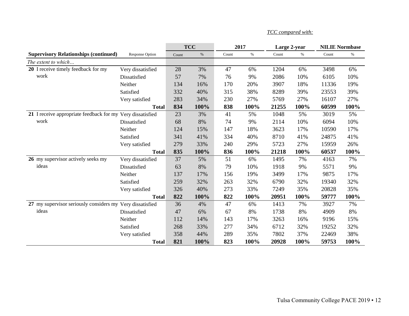|                                                            |                        |       | <b>TCC</b> | 2017  |      | Large 2-year |      | <b>NILIE Normbase</b> |      |
|------------------------------------------------------------|------------------------|-------|------------|-------|------|--------------|------|-----------------------|------|
| <b>Supervisory Relationships (continued)</b>               | <b>Response Option</b> | Count | $\%$       | Count | $\%$ | Count        | $\%$ | Count                 | $\%$ |
| The extent to which                                        |                        |       |            |       |      |              |      |                       |      |
| 20 I receive timely feedback for my                        | Very dissatisfied      | 28    | 3%         | 47    | 6%   | 1204         | 6%   | 3498                  | 6%   |
| work                                                       | Dissatisfied           | 57    | 7%         | 76    | 9%   | 2086         | 10%  | 6105                  | 10%  |
|                                                            | Neither                | 134   | 16%        | 170   | 20%  | 3907         | 18%  | 11336                 | 19%  |
|                                                            | Satisfied              | 332   | 40%        | 315   | 38%  | 8289         | 39%  | 23553                 | 39%  |
|                                                            | Very satisfied         | 283   | 34%        | 230   | 27%  | 5769         | 27%  | 16107                 | 27%  |
|                                                            | <b>Total</b>           | 834   | 100%       | 838   | 100% | 21255        | 100% | 60599                 | 100% |
| 21 I receive appropriate feedback for my Very dissatisfied |                        | 23    | 3%         | 41    | 5%   | 1048         | 5%   | 3019                  | 5%   |
| work                                                       | Dissatisfied           | 68    | 8%         | 74    | 9%   | 2114         | 10%  | 6094                  | 10%  |
|                                                            | Neither                | 124   | 15%        | 147   | 18%  | 3623         | 17%  | 10590                 | 17%  |
|                                                            | Satisfied              | 341   | 41%        | 334   | 40%  | 8710         | 41%  | 24875                 | 41%  |
|                                                            | Very satisfied         | 279   | 33%        | 240   | 29%  | 5723         | 27%  | 15959                 | 26%  |
|                                                            | <b>Total</b>           | 835   | 100%       | 836   | 100% | 21218        | 100% | 60537                 | 100% |
| 26 my supervisor actively seeks my                         | Very dissatisfied      | 37    | 5%         | 51    | 6%   | 1495         | 7%   | 4163                  | 7%   |
| ideas                                                      | Dissatisfied           | 63    | 8%         | 79    | 10%  | 1918         | 9%   | 5571                  | 9%   |
|                                                            | Neither                | 137   | 17%        | 156   | 19%  | 3499         | 17%  | 9875                  | 17%  |
|                                                            | Satisfied              | 259   | 32%        | 263   | 32%  | 6790         | 32%  | 19340                 | 32%  |
|                                                            | Very satisfied         | 326   | 40%        | 273   | 33%  | 7249         | 35%  | 20828                 | 35%  |
|                                                            | <b>Total</b>           | 822   | 100%       | 822   | 100% | 20951        | 100% | 59777                 | 100% |
| 27 my supervisor seriously considers my Very dissatisfied  |                        | 36    | 4%         | 47    | 6%   | 1413         | 7%   | 3927                  | 7%   |
| ideas                                                      | Dissatisfied           | 47    | 6%         | 67    | 8%   | 1738         | 8%   | 4909                  | 8%   |
|                                                            | Neither                | 112   | 14%        | 143   | 17%  | 3263         | 16%  | 9196                  | 15%  |
|                                                            | Satisfied              | 268   | 33%        | 277   | 34%  | 6712         | 32%  | 19252                 | 32%  |
|                                                            | Very satisfied         | 358   | 44%        | 289   | 35%  | 7802         | 37%  | 22469                 | 38%  |
|                                                            | <b>Total</b>           | 821   | 100%       | 823   | 100% | 20928        | 100% | 59753                 | 100% |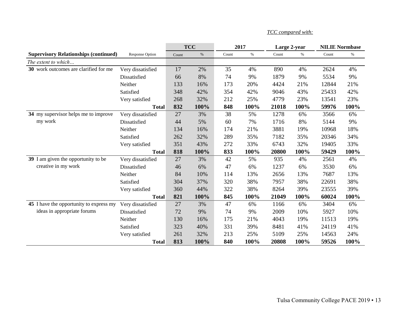|                                              |                        |       | <b>TCC</b> |       | 2017 | Large 2-year |      | <b>NILIE Normbase</b> |      |
|----------------------------------------------|------------------------|-------|------------|-------|------|--------------|------|-----------------------|------|
| <b>Supervisory Relationships (continued)</b> | <b>Response Option</b> | Count | $\%$       | Count | $\%$ | Count        | $\%$ | Count                 | $\%$ |
| The extent to which                          |                        |       |            |       |      |              |      |                       |      |
| 30 work outcomes are clarified for me        | Very dissatisfied      | 17    | 2%         | 35    | 4%   | 890          | 4%   | 2624                  | 4%   |
|                                              | Dissatisfied           | 66    | 8%         | 74    | 9%   | 1879         | 9%   | 5534                  | 9%   |
|                                              | Neither                | 133   | 16%        | 173   | 20%  | 4424         | 21%  | 12844                 | 21%  |
|                                              | Satisfied              | 348   | 42%        | 354   | 42%  | 9046         | 43%  | 25433                 | 42%  |
|                                              | Very satisfied         | 268   | 32%        | 212   | 25%  | 4779         | 23%  | 13541                 | 23%  |
|                                              | <b>Total</b>           | 832   | 100%       | 848   | 100% | 21018        | 100% | 59976                 | 100% |
| 34 my supervisor helps me to improve         | Very dissatisfied      | 27    | 3%         | 38    | 5%   | 1278         | 6%   | 3566                  | 6%   |
| my work                                      | Dissatisfied           | 44    | 5%         | 60    | 7%   | 1716         | 8%   | 5144                  | 9%   |
|                                              | Neither                | 134   | 16%        | 174   | 21%  | 3881         | 19%  | 10968                 | 18%  |
|                                              | Satisfied              | 262   | 32%        | 289   | 35%  | 7182         | 35%  | 20346                 | 34%  |
|                                              | Very satisfied         | 351   | 43%        | 272   | 33%  | 6743         | 32%  | 19405                 | 33%  |
|                                              | <b>Total</b>           | 818   | 100%       | 833   | 100% | 20800        | 100% | 59429                 | 100% |
| 39 I am given the opportunity to be          | Very dissatisfied      | 27    | 3%         | 42    | 5%   | 935          | 4%   | 2561                  | 4%   |
| creative in my work                          | Dissatisfied           | 46    | 6%         | 47    | 6%   | 1237         | 6%   | 3530                  | 6%   |
|                                              | Neither                | 84    | 10%        | 114   | 13%  | 2656         | 13%  | 7687                  | 13%  |
|                                              | Satisfied              | 304   | 37%        | 320   | 38%  | 7957         | 38%  | 22691                 | 38%  |
|                                              | Very satisfied         | 360   | 44%        | 322   | 38%  | 8264         | 39%  | 23555                 | 39%  |
|                                              | <b>Total</b>           | 821   | 100%       | 845   | 100% | 21049        | 100% | 60024                 | 100% |
| 45 I have the opportunity to express my      | Very dissatisfied      | 27    | 3%         | 47    | 6%   | 1166         | 6%   | 3404                  | 6%   |
| ideas in appropriate forums                  | Dissatisfied           | 72    | 9%         | 74    | 9%   | 2009         | 10%  | 5927                  | 10%  |
|                                              | Neither                | 130   | 16%        | 175   | 21%  | 4043         | 19%  | 11513                 | 19%  |
|                                              | Satisfied              | 323   | 40%        | 331   | 39%  | 8481         | 41%  | 24119                 | 41%  |
|                                              | Very satisfied         | 261   | 32%        | 213   | 25%  | 5109         | 25%  | 14563                 | 24%  |
|                                              | <b>Total</b>           | 813   | 100%       | 840   | 100% | 20808        | 100% | 59526                 | 100% |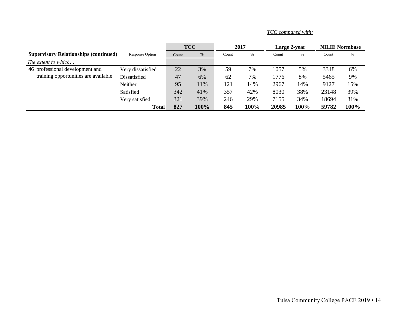|                                              |                   | <b>TCC</b> |      | 2017  |      | Large 2-year |      | <b>NILIE Normbase</b> |      |
|----------------------------------------------|-------------------|------------|------|-------|------|--------------|------|-----------------------|------|
| <b>Supervisory Relationships (continued)</b> | Response Option   | Count      | %    | Count | %    | Count        | $\%$ | Count                 | %    |
| The extent to which                          |                   |            |      |       |      |              |      |                       |      |
| 46 professional development and              | Very dissatisfied | 22         | 3%   | 59    | 7%   | 1057         | 5%   | 3348                  | 6%   |
| training opportunities are available         | Dissatisfied      | 47         | 6%   | 62    | 7%   | 1776         | 8%   | 5465                  | 9%   |
|                                              | Neither           | 95         | 11%  | 121   | 14%  | 2967         | 14%  | 9127                  | 15%  |
|                                              | Satisfied         | 342        | 41%  | 357   | 42%  | 8030         | 38%  | 23148                 | 39%  |
|                                              | Very satisfied    | 321        | 39%  | 246   | 29%  | 7155         | 34%  | 18694                 | 31%  |
|                                              | <b>Total</b>      | 827        | 100% | 845   | 100% | 20985        | 100% | 59782                 | 100% |

*TCC compared with:*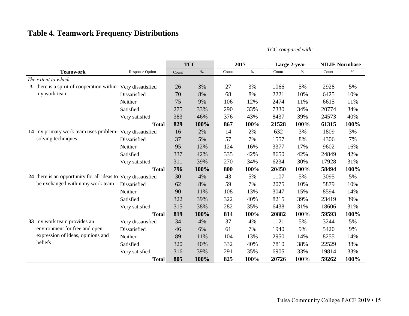# **Table 4. Teamwork Frequency Distributions**

|                                                               |                        |       | <b>TCC</b> |       | 2017 | Large 2-year                                |       | <b>NILIE Normbase</b> |      |  |
|---------------------------------------------------------------|------------------------|-------|------------|-------|------|---------------------------------------------|-------|-----------------------|------|--|
| <b>Teamwork</b>                                               | <b>Response Option</b> | Count | $\%$       | Count | $\%$ | Count                                       | $\%$  | Count                 | $\%$ |  |
| The extent to which                                           |                        |       |            |       |      |                                             |       |                       |      |  |
| 3 there is a spirit of cooperation within                     | Very dissatisfied      | 26    | 3%         | 27    | 3%   | 1066                                        | 5%    | 2928                  | 5%   |  |
| my work team                                                  | Dissatisfied           | 70    | 8%         | 68    | 8%   | 2221                                        | 10%   | 6425                  | 10%  |  |
|                                                               | Neither                | 75    | 9%         | 106   | 12%  | 2474                                        | 11%   | 6615                  | 11%  |  |
|                                                               | Satisfied              | 275   | 33%        | 290   | 33%  | 7330                                        | 34%   | 20774                 | 34%  |  |
|                                                               | Very satisfied         | 383   | 46%        | 376   | 43%  | 8437                                        | 39%   | 24573                 | 40%  |  |
|                                                               | <b>Total</b>           | 829   | 100%       | 867   | 100% | 21528                                       | 100%  | 61315                 | 100% |  |
| 14 my primary work team uses problem-                         | Very dissatisfied      | 16    | 2%         | 14    | 2%   | 632                                         | 3%    | 1809                  | 3%   |  |
| solving techniques                                            | Dissatisfied           | 37    | 5%         | 57    | 7%   | 1557                                        | 8%    | 4306                  | 7%   |  |
|                                                               | Neither                | 95    | 12%        | 124   | 16%  | 3377                                        | 17%   | 9602                  | 16%  |  |
|                                                               | Satisfied              | 337   | 42%        | 335   | 42%  | 8650                                        | 42%   | 24849                 | 42%  |  |
|                                                               | Very satisfied         | 311   | 39%        | 270   | 34%  | 6234                                        | 30%   | 17928                 | 31%  |  |
|                                                               | <b>Total</b>           | 796   | 100%       | 800   | 100% | 20450                                       | 100%  | 58494                 | 100% |  |
| 24 there is an opportunity for all ideas to Very dissatisfied |                        | 30    | 4%         | 43    | 5%   | 1107                                        | 5%    | 3095                  | 5%   |  |
| be exchanged within my work team                              | Dissatisfied           | 62    | 8%         | 59    | 7%   | 2075                                        | 10%   | 5879                  | 10%  |  |
|                                                               | Neither                | 90    | 11%        | 108   | 13%  | 3047                                        | 15%   | 8594                  | 14%  |  |
|                                                               | Satisfied              | 322   | 39%        | 322   | 40%  | 8215                                        | 39%   | 23419                 | 39%  |  |
|                                                               | Very satisfied         | 315   | 38%        | 282   | 35%  | 6438                                        | 31%   | 18606                 | 31%  |  |
|                                                               | <b>Total</b>           | 819   | 100%       | 814   | 100% | 20882                                       | 100%  | 59593                 | 100% |  |
| 33 my work team provides an                                   | Very dissatisfied      | 34    | 4%         | 37    | 4%   | 1121                                        | 5%    | 3244                  | 5%   |  |
| environment for free and open                                 | Dissatisfied           | 46    | 6%         | 61    | 7%   | 1940                                        | 9%    | 5420                  | 9%   |  |
| expression of ideas, opinions and                             | Neither                | 89    | 11%        | 104   | 13%  | 2950                                        | 14%   | 8255                  | 14%  |  |
| beliefs                                                       | Satisfied              | 320   | 40%        | 332   | 40%  | 7810<br>38%<br>6905<br>33%<br>20726<br>100% | 22529 | 38%                   |      |  |
|                                                               | Very satisfied         | 316   | 39%        | 291   | 35%  |                                             |       | 19814                 | 33%  |  |
|                                                               | <b>Total</b>           | 805   | 100%       | 825   | 100% |                                             |       | 59262                 | 100% |  |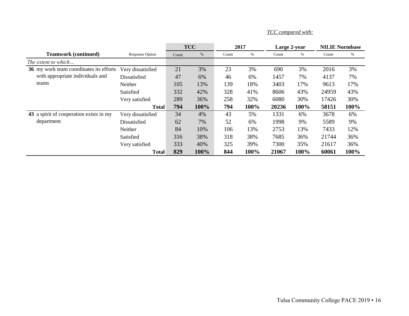|                                         |                        |       | <b>TCC</b> |       | 2017 |       | Large 2-year | <b>NILIE Normbase</b> |      |
|-----------------------------------------|------------------------|-------|------------|-------|------|-------|--------------|-----------------------|------|
| <b>Teamwork (continued)</b>             | <b>Response Option</b> | Count | %          | Count | %    | Count | %            | Count                 | $\%$ |
| The extent to which                     |                        |       |            |       |      |       |              |                       |      |
| 36 my work team coordinates its efforts | Very dissatisfied      | 21    | 3%         | 23    | 3%   | 690   | 3%           | 2016                  | 3%   |
| with appropriate individuals and        | Dissatisfied           | 47    | 6%         | 46    | 6%   | 1457  | 7%           | 4137                  | 7%   |
| teams                                   | Neither                | 105   | 13%        | 139   | 18%  | 3403  | 17%          | 9613                  | 17%  |
|                                         | Satisfied              | 332   | 42%        | 328   | 41%  | 8606  | 43%          | 24959                 | 43%  |
|                                         | Very satisfied         | 289   | 36%        | 258   | 32%  | 6080  | 30%          | 17426                 | 30%  |
|                                         | <b>Total</b>           | 794   | 100%       | 794   | 100% | 20236 | 100%         | 58151                 | 100% |
| 43 a spirit of cooperation exists in my | Very dissatisfied      | 34    | 4%         | 43    | 5%   | 1331  | 6%           | 3678                  | 6%   |
| department                              | Dissatisfied           | 62    | 7%         | 52    | 6%   | 1998  | 9%           | 5589                  | 9%   |
|                                         | Neither                | 84    | 10%        | 106   | 13%  | 2753  | 13%          | 7433                  | 12%  |
|                                         | Satisfied              | 316   | 38%        | 318   | 38%  | 7685  | 36%          | 21744                 | 36%  |
|                                         | Very satisfied         | 333   | 40%        | 325   | 39%  | 7300  | 35%          | 21617                 | 36%  |
|                                         | <b>Total</b>           | 829   | 100%       | 844   | 100% | 21067 | 100%         | 60061                 | 100% |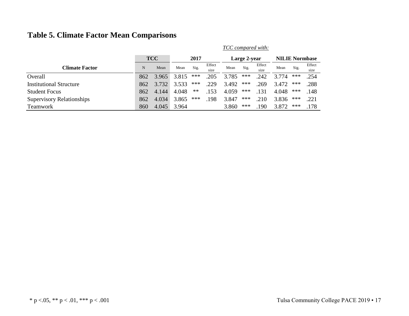# **Table 5. Climate Factor Mean Comparisons**

|                                  |     | <b>TCC</b> |       | 2017  |                |       | Large 2-year |                |       | <b>NILIE Normbase</b> |                |  |
|----------------------------------|-----|------------|-------|-------|----------------|-------|--------------|----------------|-------|-----------------------|----------------|--|
| <b>Climate Factor</b>            | N   | Mean       | Mean  | Sig.  | Effect<br>size | Mean  | Sig.         | Effect<br>size | Mean  | Sig.                  | Effect<br>size |  |
| Overall                          | 862 | 3.965      | 3.815 | ***   | .205           | 3.785 | ***          | .242           | 3.774 | ***                   | .254           |  |
| <b>Institutional Structure</b>   | 862 | 3.732      | 3.533 | ***   | .229           | 3.492 | ***          | .269           | 3.472 | ***                   | .288           |  |
| <b>Student Focus</b>             | 862 | 4.144      | 4.048 | $***$ | .153           | 4.059 | ***          | .131           | 4.048 | ***                   | .148           |  |
| <b>Supervisory Relationships</b> | 862 | 4.034      | 3.865 | ***   | .198           | 3.847 | ***          | .210           | 3.836 | ***                   | .221           |  |
| <b>Teamwork</b>                  | 860 | 4.045      | 3.964 |       |                | 3.860 | ***          | .190           | 3.872 | ***                   | .178           |  |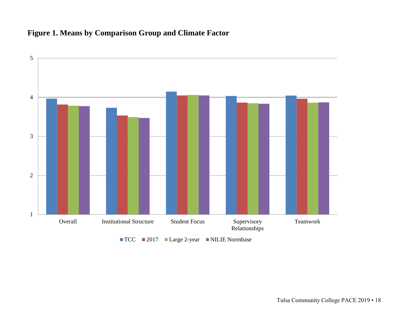# **Figure 1. Means by Comparison Group and Climate Factor**

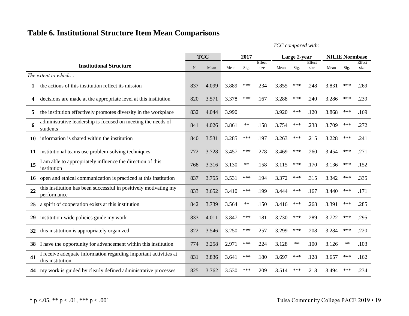# **Table 6. Institutional Structure Item Mean Comparisons**

|    |                                                                                      |     | <b>TCC</b> | 2017  |       |                |       | Large 2-year |                | <b>NILIE Normbase</b> |      |                |
|----|--------------------------------------------------------------------------------------|-----|------------|-------|-------|----------------|-------|--------------|----------------|-----------------------|------|----------------|
|    | <b>Institutional Structure</b>                                                       | N   | Mean       | Mean  | Sig.  | Effect<br>size | Mean  | Sig.         | Effect<br>size | Mean                  | Sig. | Effect<br>size |
|    | The extent to which                                                                  |     |            |       |       |                |       |              |                |                       |      |                |
|    | the actions of this institution reflect its mission                                  | 837 | 4.099      | 3.889 | ***   | .234           | 3.855 | ***          | .248           | 3.831                 | ***  | .269           |
| 4  | decisions are made at the appropriate level at this institution                      | 820 | 3.571      | 3.378 | ***   | .167           | 3.288 | $***$        | .240           | 3.286                 | ***  | .239           |
| 5  | the institution effectively promotes diversity in the workplace                      | 832 | 4.044      | 3.990 |       |                | 3.920 | ***          | .120           | 3.868                 | ***  | .169           |
| 6  | administrative leadership is focused on meeting the needs of<br>students             | 841 | 4.026      | 3.861 | $***$ | .158           | 3.754 | $***$        | .238           | 3.709                 | ***  | .272           |
| 10 | information is shared within the institution                                         | 840 | 3.531      | 3.285 | ***   | .197           | 3.263 | ***          | .215           | 3.228                 | ***  | .241           |
| 11 | institutional teams use problem-solving techniques                                   | 772 | 3.728      | 3.457 | ***   | .278           | 3.469 | ***          | .260           | 3.454                 | ***  | .271           |
| 15 | I am able to appropriately influence the direction of this<br>institution            | 768 | 3.316      | 3.130 | $**$  | .158           | 3.115 | ***          | .170           | 3.136                 | ***  | .152           |
| 16 | open and ethical communication is practiced at this institution                      | 837 | 3.755      | 3.531 | ***   | .194           | 3.372 | ***          | .315           | 3.342                 | ***  | .335           |
| 22 | this institution has been successful in positively motivating my<br>performance      | 833 | 3.652      | 3.410 | ***   | .199           | 3.444 | ***          | .167           | 3.440                 | ***  | .171           |
| 25 | a spirit of cooperation exists at this institution                                   | 842 | 3.739      | 3.564 | $**$  | .150           | 3.416 | ***          | .268           | 3.391                 | ***  | .285           |
| 29 | institution-wide policies guide my work                                              | 833 | 4.011      | 3.847 | ***   | .181           | 3.730 | ***          | .289           | 3.722                 | ***  | .295           |
| 32 | this institution is appropriately organized                                          | 822 | 3.546      | 3.250 | ***   | .257           | 3.299 | $***$        | .208           | 3.284                 | ***  | .220           |
| 38 | I have the opportunity for advancement within this institution                       | 774 | 3.258      | 2.971 | ***   | .224           | 3.128 | $***$        | .100           | 3.126                 | $**$ | .103           |
| 41 | I receive adequate information regarding important activities at<br>this institution | 831 | 3.836      | 3.641 | ***   | .180           | 3.697 | ***          | .128           | 3.657                 | ***  | .162           |
| 44 | my work is guided by clearly defined administrative processes                        | 825 | 3.762      | 3.530 | ***   | .209           | 3.514 | ***          | .218           | 3.494                 | ***  | .234           |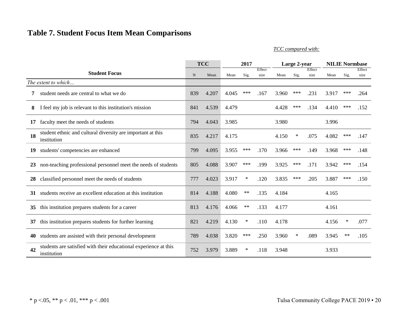# **Table 7. Student Focus Item Mean Comparisons**

*TCC compared with:*

|    |                                                                                 |             | <b>TCC</b> | 2017  |        |        |       | Large 2-year |        | <b>NILIE Normbase</b> |       |        |
|----|---------------------------------------------------------------------------------|-------------|------------|-------|--------|--------|-------|--------------|--------|-----------------------|-------|--------|
|    | <b>Student Focus</b>                                                            |             |            |       |        | Effect |       |              | Effect |                       |       | Effect |
|    |                                                                                 | $\mathbf N$ | Mean       | Mean  | Sig.   | size   | Mean  | Sig.         | size   | Mean                  | Sig.  | size   |
|    | The extent to which                                                             |             |            |       |        |        |       |              |        |                       |       |        |
| 7  | student needs are central to what we do                                         | 839         | 4.207      | 4.045 | $***$  | .167   | 3.960 | ***          | .231   | 3.917                 | ***   | .264   |
| 8  | I feel my job is relevant to this institution's mission                         | 841         | 4.539      | 4.479 |        |        | 4.428 | ***          | .134   | 4.410                 | ***   | .152   |
| 17 | faculty meet the needs of students                                              | 794         | 4.043      | 3.985 |        |        | 3.980 |              |        | 3.996                 |       |        |
| 18 | student ethnic and cultural diversity are important at this<br>institution      | 835         | 4.217      | 4.175 |        |        | 4.150 | ∗            | .075   | 4.082                 | ***   | .147   |
| 19 | students' competencies are enhanced                                             | 799         | 4.095      | 3.955 | ***    | .170   | 3.966 | ***          | .149   | 3.968                 | ***   | .148   |
| 23 | non-teaching professional personnel meet the needs of students                  | 805         | 4.088      | 3.907 | $***$  | .199   | 3.925 | ***          | .171   | 3.942                 | ***   | .154   |
| 28 | classified personnel meet the needs of students                                 | 777         | 4.023      | 3.917 | $\ast$ | .120   | 3.835 | ***          | .205   | 3.887                 | ***   | .150   |
| 31 | students receive an excellent education at this institution                     | 814         | 4.188      | 4.080 | $***$  | .135   | 4.184 |              |        | 4.165                 |       |        |
| 35 | this institution prepares students for a career                                 | 813         | 4.176      | 4.066 | $***$  | .133   | 4.177 |              |        | 4.161                 |       |        |
| 37 | this institution prepares students for further learning                         | 821         | 4.219      | 4.130 | ∗      | .110   | 4.178 |              |        | 4.156                 | ∗     | .077   |
| 40 | students are assisted with their personal development                           | 789         | 4.038      | 3.820 | ***    | .250   | 3.960 | ∗            | .089   | 3.945                 | $***$ | .105   |
| 42 | students are satisfied with their educational experience at this<br>institution | 752         | 3.979      | 3.889 | $\ast$ | .118   | 3.948 |              |        | 3.933                 |       |        |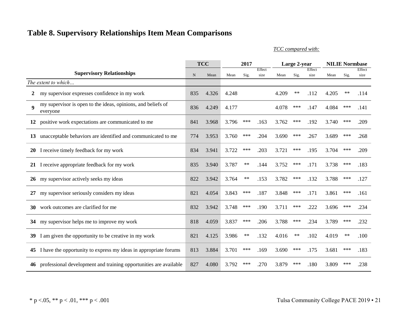# **Table 8. Supervisory Relationships Item Mean Comparisons**

*TCC compared with:*

|              |                                                                          |             | <b>TCC</b> | 2017  |       |                | Large 2-year |       |                | <b>NILIE Normbase</b> |      |                |
|--------------|--------------------------------------------------------------------------|-------------|------------|-------|-------|----------------|--------------|-------|----------------|-----------------------|------|----------------|
|              | <b>Supervisory Relationships</b>                                         | $\mathbf N$ | Mean       | Mean  | Sig.  | Effect<br>size | Mean         | Sig.  | Effect<br>size | Mean                  | Sig. | Effect<br>size |
|              | The extent to which                                                      |             |            |       |       |                |              |       |                |                       |      |                |
|              |                                                                          |             |            |       |       |                |              |       |                |                       |      |                |
| $\mathbf{2}$ | my supervisor expresses confidence in my work                            | 835         | 4.326      | 4.248 |       |                | 4.209        | $***$ | .112           | 4.205                 | $**$ | .114           |
| 9            | my supervisor is open to the ideas, opinions, and beliefs of<br>everyone | 836         | 4.249      | 4.177 |       |                | 4.078        | ***   | .147           | 4.084                 | ***  | .141           |
|              | 12 positive work expectations are communicated to me                     | 841         | 3.968      | 3.796 | $***$ | .163           | 3.762        | $***$ | .192           | 3.740                 | ***  | .209           |
| 13           | unacceptable behaviors are identified and communicated to me             | 774         | 3.953      | 3.760 | ***   | .204           | 3.690        | ***   | .267           | 3.689                 | ***  | .268           |
| 20           | I receive timely feedback for my work                                    | 834         | 3.941      | 3.722 | $***$ | .203           | 3.721        | ***   | .195           | 3.704                 | ***  | .209           |
|              | 21 I receive appropriate feedback for my work                            | 835         | 3.940      | 3.787 | $***$ | .144           | 3.752        | ***   | .171           | 3.738                 | ***  | .183           |
|              | 26 my supervisor actively seeks my ideas                                 | 822         | 3.942      | 3.764 | $***$ | .153           | 3.782        | ***   | .132           | 3.788                 | ***  | .127           |
| 27           | my supervisor seriously considers my ideas                               | 821         | 4.054      | 3.843 | ***   | .187           | 3.848        | ***   | .171           | 3.861                 | ***  | .161           |
| 30           | work outcomes are clarified for me                                       | 832         | 3.942      | 3.748 | ***   | .190           | 3.711        | $***$ | .222           | 3.696                 | ***  | .234           |
| 34           | my supervisor helps me to improve my work                                | 818         | 4.059      | 3.837 | ***   | .206           | 3.788        | ***   | .234           | 3.789                 | ***  | .232           |
| 39           | I am given the opportunity to be creative in my work                     | 821         | 4.125      | 3.986 | $***$ | .132           | 4.016        | $**$  | .102           | 4.019                 | $**$ | .100           |
| 45           | I have the opportunity to express my ideas in appropriate forums         | 813         | 3.884      | 3.701 | ***   | .169           | 3.690        | ***   | .175           | 3.681                 | ***  | .183           |
| 46           | professional development and training opportunities are available        | 827         | 4.080      | 3.792 | ***   | .270           | 3.879        | ***   | .180           | 3.809                 | ***  | .238           |